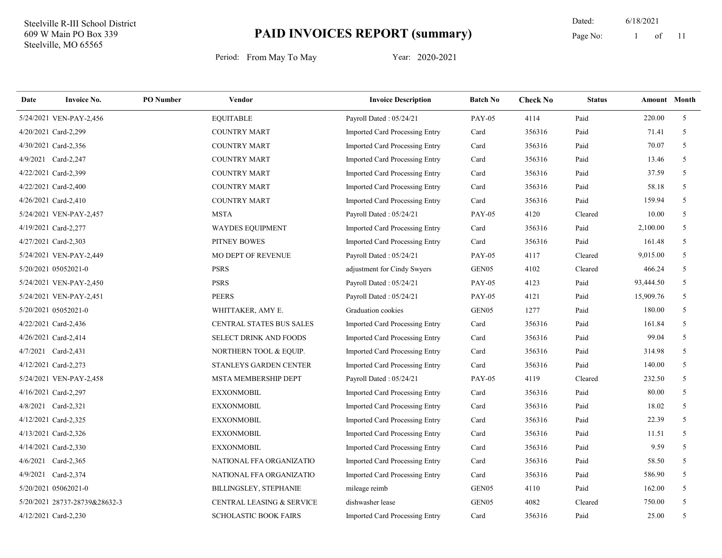11 Dated: 6/18/2021 Page No: 1 of

| Date | <b>Invoice No.</b>            | <b>PO</b> Number | <b>Vendor</b>                   | <b>Invoice Description</b>            | <b>Batch No</b>   | <b>Check No</b> | <b>Status</b> | <b>Amount</b> Month |                |
|------|-------------------------------|------------------|---------------------------------|---------------------------------------|-------------------|-----------------|---------------|---------------------|----------------|
|      | 5/24/2021 VEN-PAY-2,456       |                  | <b>EQUITABLE</b>                | Payroll Dated: 05/24/21               | <b>PAY-05</b>     | 4114            | Paid          | 220.00              | 5 <sup>5</sup> |
|      | 4/20/2021 Card-2,299          |                  | <b>COUNTRY MART</b>             | <b>Imported Card Processing Entry</b> | Card              | 356316          | Paid          | 71.41               | 5              |
|      | 4/30/2021 Card-2,356          |                  | <b>COUNTRY MART</b>             | Imported Card Processing Entry        | Card              | 356316          | Paid          | 70.07               | 5              |
|      | 4/9/2021 Card-2,247           |                  | <b>COUNTRY MART</b>             | Imported Card Processing Entry        | Card              | 356316          | Paid          | 13.46               | 5              |
|      | 4/22/2021 Card-2,399          |                  | <b>COUNTRY MART</b>             | Imported Card Processing Entry        | Card              | 356316          | Paid          | 37.59               | 5              |
|      | 4/22/2021 Card-2,400          |                  | <b>COUNTRY MART</b>             | Imported Card Processing Entry        | Card              | 356316          | Paid          | 58.18               | 5              |
|      | 4/26/2021 Card-2,410          |                  | <b>COUNTRY MART</b>             | Imported Card Processing Entry        | Card              | 356316          | Paid          | 159.94              | 5              |
|      | 5/24/2021 VEN-PAY-2,457       |                  | <b>MSTA</b>                     | Payroll Dated: 05/24/21               | <b>PAY-05</b>     | 4120            | Cleared       | 10.00               | 5              |
|      | 4/19/2021 Card-2,277          |                  | <b>WAYDES EQUIPMENT</b>         | Imported Card Processing Entry        | Card              | 356316          | Paid          | 2,100.00            | 5              |
|      | 4/27/2021 Card-2,303          |                  | PITNEY BOWES                    | Imported Card Processing Entry        | Card              | 356316          | Paid          | 161.48              | 5              |
|      | 5/24/2021 VEN-PAY-2,449       |                  | <b>MO DEPT OF REVENUE</b>       | Payroll Dated: 05/24/21               | <b>PAY-05</b>     | 4117            | Cleared       | 9,015.00            | 5              |
|      | 5/20/2021 05052021-0          |                  | <b>PSRS</b>                     | adjustment for Cindy Swyers           | GEN <sub>05</sub> | 4102            | Cleared       | 466.24              | 5              |
|      | 5/24/2021 VEN-PAY-2,450       |                  | <b>PSRS</b>                     | Payroll Dated: 05/24/21               | <b>PAY-05</b>     | 4123            | Paid          | 93,444.50           | 5              |
|      | 5/24/2021 VEN-PAY-2,451       |                  | <b>PEERS</b>                    | Payroll Dated: 05/24/21               | <b>PAY-05</b>     | 4121            | Paid          | 15,909.76           | 5              |
|      | 5/20/2021 05052021-0          |                  | WHITTAKER, AMY E.               | Graduation cookies                    | GEN05             | 1277            | Paid          | 180.00              | 5              |
|      | 4/22/2021 Card-2,436          |                  | <b>CENTRAL STATES BUS SALES</b> | <b>Imported Card Processing Entry</b> | Card              | 356316          | Paid          | 161.84              | 5              |
|      | 4/26/2021 Card-2,414          |                  | SELECT DRINK AND FOODS          | Imported Card Processing Entry        | Card              | 356316          | Paid          | 99.04               | 5 <sup>5</sup> |
|      | 4/7/2021 Card-2,431           |                  | NORTHERN TOOL & EQUIP.          | Imported Card Processing Entry        | Card              | 356316          | Paid          | 314.98              | 5              |
|      | 4/12/2021 Card-2,273          |                  | STANLEYS GARDEN CENTER          | Imported Card Processing Entry        | Card              | 356316          | Paid          | 140.00              | 5              |
|      | 5/24/2021 VEN-PAY-2,458       |                  | MSTA MEMBERSHIP DEPT            | Payroll Dated: 05/24/21               | <b>PAY-05</b>     | 4119            | Cleared       | 232.50              | 5              |
|      | 4/16/2021 Card-2,297          |                  | <b>EXXONMOBIL</b>               | Imported Card Processing Entry        | Card              | 356316          | Paid          | 80.00               | 5 <sup>5</sup> |
|      | 4/8/2021 Card-2,321           |                  | <b>EXXONMOBIL</b>               | Imported Card Processing Entry        | Card              | 356316          | Paid          | 18.02               | 5              |
|      | 4/12/2021 Card-2,325          |                  | <b>EXXONMOBIL</b>               | Imported Card Processing Entry        | Card              | 356316          | Paid          | 22.39               | $\mathfrak{F}$ |
|      | 4/13/2021 Card-2,326          |                  | <b>EXXONMOBIL</b>               | Imported Card Processing Entry        | Card              | 356316          | Paid          | 11.51               | 5              |
|      | 4/14/2021 Card-2,330          |                  | <b>EXXONMOBIL</b>               | Imported Card Processing Entry        | Card              | 356316          | Paid          | 9.59                | 5              |
|      | 4/6/2021 Card-2,365           |                  | NATIONAL FFA ORGANIZATIO        | Imported Card Processing Entry        | Card              | 356316          | Paid          | 58.50               | 5              |
|      | 4/9/2021 Card-2,374           |                  | NATIONAL FFA ORGANIZATIO        | Imported Card Processing Entry        | Card              | 356316          | Paid          | 586.90              | 5              |
|      | 5/20/2021 05062021-0          |                  | <b>BILLINGSLEY, STEPHANIE</b>   | mileage reimb                         | GEN05             | 4110            | Paid          | 162.00              | 5              |
|      | 5/20/2021 28737-28739&28632-3 |                  | CENTRAL LEASING & SERVICE       | dishwasher lease                      | GEN <sub>05</sub> | 4082            | Cleared       | 750.00              | 5              |
|      | 4/12/2021 Card-2,230          |                  | <b>SCHOLASTIC BOOK FAIRS</b>    | Imported Card Processing Entry        | Card              | 356316          | Paid          | 25.00               | 5              |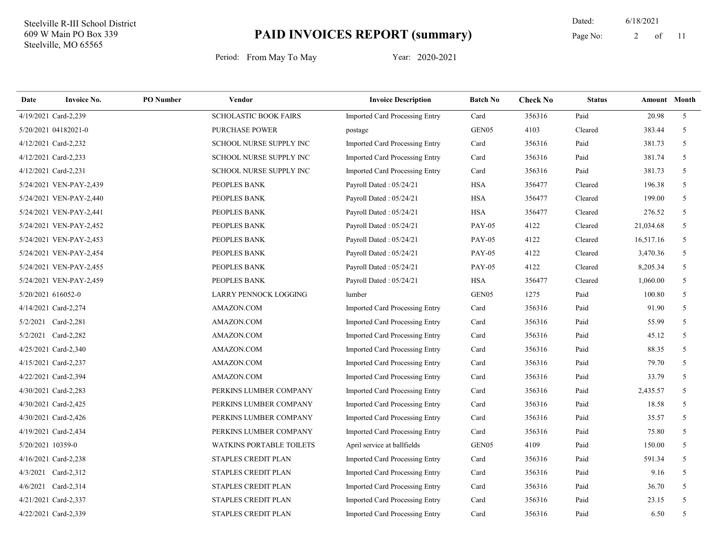11 Dated: 6/18/2021 Page No: 2 of

| Date               | <b>Invoice No.</b>      | <b>PO</b> Number | Vendor                          | <b>Invoice Description</b>            | <b>Batch No</b> | <b>Check No</b> | <b>Status</b> | Amount Month |                |
|--------------------|-------------------------|------------------|---------------------------------|---------------------------------------|-----------------|-----------------|---------------|--------------|----------------|
|                    | 4/19/2021 Card-2,239    |                  | <b>SCHOLASTIC BOOK FAIRS</b>    | Imported Card Processing Entry        | Card            | 356316          | Paid          | 20.98        | 5 <sup>7</sup> |
|                    | 5/20/2021 04182021-0    |                  | <b>PURCHASE POWER</b>           | postage                               | GEN05           | 4103            | Cleared       | 383.44       | 5              |
|                    | 4/12/2021 Card-2,232    |                  | SCHOOL NURSE SUPPLY INC         | Imported Card Processing Entry        | Card            | 356316          | Paid          | 381.73       | 5              |
|                    | 4/12/2021 Card-2,233    |                  | SCHOOL NURSE SUPPLY INC         | Imported Card Processing Entry        | Card            | 356316          | Paid          | 381.74       | 5              |
|                    | 4/12/2021 Card-2,231    |                  | SCHOOL NURSE SUPPLY INC         | Imported Card Processing Entry        | Card            | 356316          | Paid          | 381.73       | 5              |
|                    | 5/24/2021 VEN-PAY-2,439 |                  | PEOPLES BANK                    | Payroll Dated: 05/24/21               | HSA             | 356477          | Cleared       | 196.38       | 5              |
|                    | 5/24/2021 VEN-PAY-2,440 |                  | PEOPLES BANK                    | Payroll Dated: 05/24/21               | <b>HSA</b>      | 356477          | Cleared       | 199.00       | 5              |
|                    | 5/24/2021 VEN-PAY-2,441 |                  | PEOPLES BANK                    | Payroll Dated: 05/24/21               | <b>HSA</b>      | 356477          | Cleared       | 276.52       | 5              |
|                    | 5/24/2021 VEN-PAY-2,452 |                  | PEOPLES BANK                    | Payroll Dated: 05/24/21               | <b>PAY-05</b>   | 4122            | Cleared       | 21,034.68    | 5              |
|                    | 5/24/2021 VEN-PAY-2,453 |                  | PEOPLES BANK                    | Payroll Dated: 05/24/21               | <b>PAY-05</b>   | 4122            | Cleared       | 16,517.16    | 5              |
|                    | 5/24/2021 VEN-PAY-2,454 |                  | PEOPLES BANK                    | Payroll Dated: 05/24/21               | <b>PAY-05</b>   | 4122            | Cleared       | 3,470.36     | 5              |
|                    | 5/24/2021 VEN-PAY-2,455 |                  | PEOPLES BANK                    | Payroll Dated: 05/24/21               | <b>PAY-05</b>   | 4122            | Cleared       | 8,205.34     | 5              |
|                    | 5/24/2021 VEN-PAY-2,459 |                  | PEOPLES BANK                    | Payroll Dated: 05/24/21               | <b>HSA</b>      | 356477          | Cleared       | 1,060.00     | 5              |
| 5/20/2021 616052-0 |                         |                  | LARRY PENNOCK LOGGING           | lumber                                | GEN05           | 1275            | Paid          | 100.80       | 5              |
|                    | 4/14/2021 Card-2,274    |                  | AMAZON.COM                      | Imported Card Processing Entry        | Card            | 356316          | Paid          | 91.90        | 5              |
|                    | 5/2/2021 Card-2,281     |                  | AMAZON.COM                      | Imported Card Processing Entry        | Card            | 356316          | Paid          | 55.99        | 5              |
|                    | 5/2/2021 Card-2,282     |                  | AMAZON.COM                      | <b>Imported Card Processing Entry</b> | Card            | 356316          | Paid          | 45.12        | 5              |
|                    | 4/25/2021 Card-2,340    |                  | AMAZON.COM                      | Imported Card Processing Entry        | Card            | 356316          | Paid          | 88.35        | 5              |
|                    | 4/15/2021 Card-2,237    |                  | AMAZON.COM                      | Imported Card Processing Entry        | Card            | 356316          | Paid          | 79.70        | 5              |
|                    | 4/22/2021 Card-2,394    |                  | AMAZON.COM                      | Imported Card Processing Entry        | Card            | 356316          | Paid          | 33.79        | 5              |
|                    | 4/30/2021 Card-2,283    |                  | PERKINS LUMBER COMPANY          | <b>Imported Card Processing Entry</b> | Card            | 356316          | Paid          | 2,435.57     | 5              |
|                    | 4/30/2021 Card-2,425    |                  | PERKINS LUMBER COMPANY          | Imported Card Processing Entry        | Card            | 356316          | Paid          | 18.58        | 5              |
|                    | 4/30/2021 Card-2,426    |                  | PERKINS LUMBER COMPANY          | Imported Card Processing Entry        | Card            | 356316          | Paid          | 35.57        | 5              |
|                    | 4/19/2021 Card-2,434    |                  | PERKINS LUMBER COMPANY          | <b>Imported Card Processing Entry</b> | Card            | 356316          | Paid          | 75.80        | 5              |
| 5/20/2021 10359-0  |                         |                  | <b>WATKINS PORTABLE TOILETS</b> | April service at ballfields           | GEN05           | 4109            | Paid          | 150.00       | 5              |
|                    | 4/16/2021 Card-2,238    |                  | STAPLES CREDIT PLAN             | Imported Card Processing Entry        | Card            | 356316          | Paid          | 591.34       | 5              |
|                    | 4/3/2021 Card-2,312     |                  | STAPLES CREDIT PLAN             | Imported Card Processing Entry        | Card            | 356316          | Paid          | 9.16         | 5 <sup>5</sup> |
|                    | 4/6/2021 Card-2,314     |                  | STAPLES CREDIT PLAN             | Imported Card Processing Entry        | Card            | 356316          | Paid          | 36.70        | 5              |
|                    | 4/21/2021 Card-2,337    |                  | STAPLES CREDIT PLAN             | Imported Card Processing Entry        | Card            | 356316          | Paid          | 23.15        | 5              |
|                    | 4/22/2021 Card-2,339    |                  | STAPLES CREDIT PLAN             | Imported Card Processing Entry        | Card            | 356316          | Paid          | 6.50         | 5              |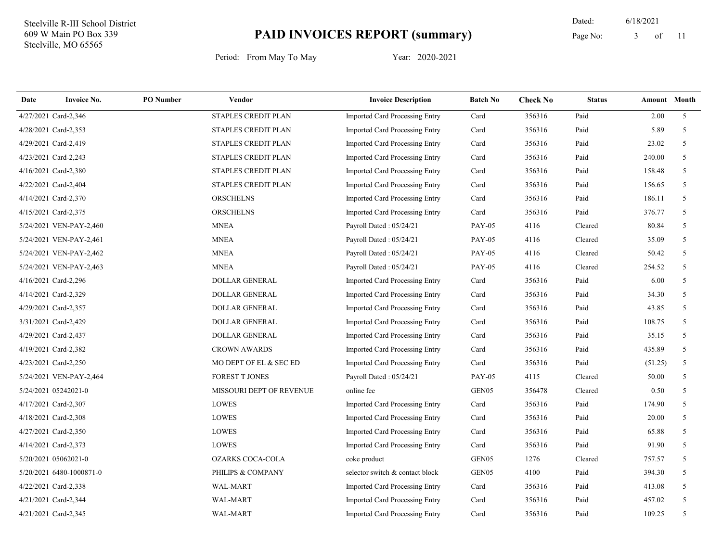11 Dated: 6/18/2021 Page No: 3 of

| Date | <b>Invoice No.</b>       | <b>PO</b> Number | <b>Vendor</b>            | <b>Invoice Description</b>            | <b>Batch No</b>   | <b>Check No</b> | <b>Status</b> | Amount Month |                |
|------|--------------------------|------------------|--------------------------|---------------------------------------|-------------------|-----------------|---------------|--------------|----------------|
|      | 4/27/2021 Card-2,346     |                  | STAPLES CREDIT PLAN      | <b>Imported Card Processing Entry</b> | Card              | 356316          | Paid          | 2.00         | 5 <sup>5</sup> |
|      | 4/28/2021 Card-2,353     |                  | STAPLES CREDIT PLAN      | Imported Card Processing Entry        | Card              | 356316          | Paid          | 5.89         | 5              |
|      | 4/29/2021 Card-2,419     |                  | STAPLES CREDIT PLAN      | Imported Card Processing Entry        | Card              | 356316          | Paid          | 23.02        | $\mathfrak{F}$ |
|      | 4/23/2021 Card-2,243     |                  | STAPLES CREDIT PLAN      | <b>Imported Card Processing Entry</b> | Card              | 356316          | Paid          | 240.00       | 5              |
|      | 4/16/2021 Card-2,380     |                  | STAPLES CREDIT PLAN      | <b>Imported Card Processing Entry</b> | Card              | 356316          | Paid          | 158.48       | 5              |
|      | 4/22/2021 Card-2,404     |                  | STAPLES CREDIT PLAN      | Imported Card Processing Entry        | Card              | 356316          | Paid          | 156.65       | 5              |
|      | 4/14/2021 Card-2,370     |                  | <b>ORSCHELNS</b>         | Imported Card Processing Entry        | Card              | 356316          | Paid          | 186.11       | 5              |
|      | 4/15/2021 Card-2,375     |                  | <b>ORSCHELNS</b>         | Imported Card Processing Entry        | Card              | 356316          | Paid          | 376.77       | 5              |
|      | 5/24/2021 VEN-PAY-2,460  |                  | <b>MNEA</b>              | Payroll Dated: 05/24/21               | <b>PAY-05</b>     | 4116            | Cleared       | 80.84        | 5              |
|      | 5/24/2021 VEN-PAY-2,461  |                  | <b>MNEA</b>              | Payroll Dated: 05/24/21               | <b>PAY-05</b>     | 4116            | Cleared       | 35.09        | 5 <sup>5</sup> |
|      | 5/24/2021 VEN-PAY-2,462  |                  | <b>MNEA</b>              | Payroll Dated: 05/24/21               | <b>PAY-05</b>     | 4116            | Cleared       | 50.42        | 5              |
|      | 5/24/2021 VEN-PAY-2,463  |                  | <b>MNEA</b>              | Payroll Dated: 05/24/21               | <b>PAY-05</b>     | 4116            | Cleared       | 254.52       | 5              |
|      | 4/16/2021 Card-2,296     |                  | DOLLAR GENERAL           | Imported Card Processing Entry        | Card              | 356316          | Paid          | 6.00         | 5              |
|      | 4/14/2021 Card-2,329     |                  | <b>DOLLAR GENERAL</b>    | <b>Imported Card Processing Entry</b> | Card              | 356316          | Paid          | 34.30        | .5             |
|      | 4/29/2021 Card-2,357     |                  | <b>DOLLAR GENERAL</b>    | <b>Imported Card Processing Entry</b> | Card              | 356316          | Paid          | 43.85        | 5              |
|      | 3/31/2021 Card-2,429     |                  | <b>DOLLAR GENERAL</b>    | <b>Imported Card Processing Entry</b> | Card              | 356316          | Paid          | 108.75       | 5 <sup>5</sup> |
|      | 4/29/2021 Card-2,437     |                  | DOLLAR GENERAL           | Imported Card Processing Entry        | Card              | 356316          | Paid          | 35.15        | 5              |
|      | 4/19/2021 Card-2,382     |                  | <b>CROWN AWARDS</b>      | Imported Card Processing Entry        | Card              | 356316          | Paid          | 435.89       | 5              |
|      | 4/23/2021 Card-2,250     |                  | MO DEPT OF EL & SEC ED   | Imported Card Processing Entry        | Card              | 356316          | Paid          | (51.25)      | 5              |
|      | 5/24/2021 VEN-PAY-2,464  |                  | <b>FOREST T JONES</b>    | Payroll Dated: 05/24/21               | <b>PAY-05</b>     | 4115            | Cleared       | 50.00        | 5              |
|      | 5/24/2021 05242021-0     |                  | MISSOURI DEPT OF REVENUE | online fee                            | GEN05             | 356478          | Cleared       | 0.50         | 5              |
|      | 4/17/2021 Card-2,307     |                  | LOWES                    | Imported Card Processing Entry        | Card              | 356316          | Paid          | 174.90       | 5 <sup>5</sup> |
|      | 4/18/2021 Card-2,308     |                  | LOWES                    | Imported Card Processing Entry        | Card              | 356316          | Paid          | 20.00        | 5              |
|      | 4/27/2021 Card-2,350     |                  | <b>LOWES</b>             | Imported Card Processing Entry        | Card              | 356316          | Paid          | 65.88        | 5              |
|      | 4/14/2021 Card-2,373     |                  | <b>LOWES</b>             | Imported Card Processing Entry        | Card              | 356316          | Paid          | 91.90        | 5              |
|      | 5/20/2021 05062021-0     |                  | <b>OZARKS COCA-COLA</b>  | coke product                          | GEN <sub>05</sub> | 1276            | Cleared       | 757.57       | 5 <sup>5</sup> |
|      | 5/20/2021 6480-1000871-0 |                  | PHILIPS & COMPANY        | selector switch & contact block       | GEN05             | 4100            | Paid          | 394.30       | 5 <sup>5</sup> |
|      | 4/22/2021 Card-2,338     |                  | WAL-MART                 | Imported Card Processing Entry        | Card              | 356316          | Paid          | 413.08       | 5              |
|      | 4/21/2021 Card-2,344     |                  | <b>WAL-MART</b>          | Imported Card Processing Entry        | Card              | 356316          | Paid          | 457.02       | 5              |
|      | 4/21/2021 Card-2,345     |                  | <b>WAL-MART</b>          | Imported Card Processing Entry        | Card              | 356316          | Paid          | 109.25       | 5              |
|      |                          |                  |                          |                                       |                   |                 |               |              |                |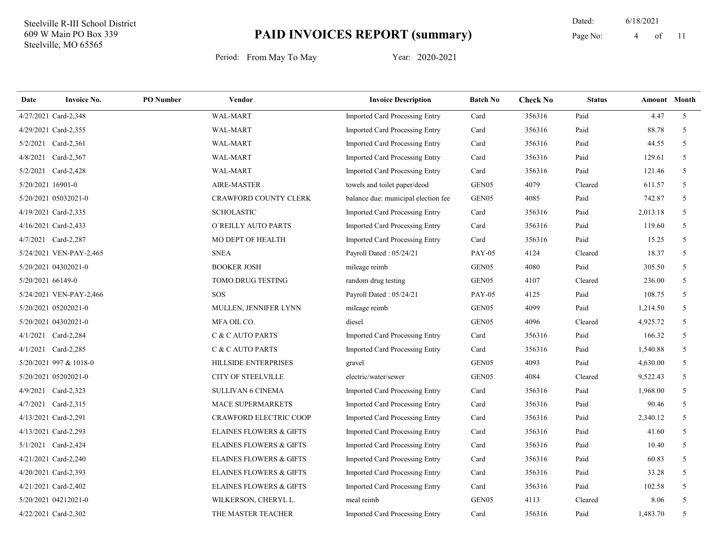11 Dated: 6/18/2021 Page No: 4 of

| Date              | <b>Invoice No.</b>      | <b>PO</b> Number | Vendor                             | <b>Invoice Description</b>            | <b>Batch No</b>   | <b>Check No</b> | <b>Status</b> | <b>Amount</b> Month |                |
|-------------------|-------------------------|------------------|------------------------------------|---------------------------------------|-------------------|-----------------|---------------|---------------------|----------------|
|                   | 4/27/2021 Card-2,348    |                  | WAL-MART                           | <b>Imported Card Processing Entry</b> | Card              | 356316          | Paid          | 4.47                | 5 <sup>5</sup> |
|                   | 4/29/2021 Card-2,355    |                  | WAL-MART                           | Imported Card Processing Entry        | Card              | 356316          | Paid          | 88.78               | 5              |
|                   | 5/2/2021 Card-2,361     |                  | <b>WAL-MART</b>                    | Imported Card Processing Entry        | Card              | 356316          | Paid          | 44.55               | 5              |
| 4/8/2021          | $Card-2,367$            |                  | WAL-MART                           | Imported Card Processing Entry        | Card              | 356316          | Paid          | 129.61              | $\overline{5}$ |
|                   | 5/2/2021 Card-2,428     |                  | WAL-MART                           | Imported Card Processing Entry        | Card              | 356316          | Paid          | 121.46              | 5 <sup>5</sup> |
| 5/20/2021 16901-0 |                         |                  | <b>AIRE-MASTER</b>                 | towels and toilet paper/deod          | GEN05             | 4079            | Cleared       | 611.57              | 5              |
|                   | 5/20/2021 05032021-0    |                  | CRAWFORD COUNTY CLERK              | balance due: municipal election fee   | GEN <sub>05</sub> | 4085            | Paid          | 742.87              | 5              |
|                   | 4/19/2021 Card-2,335    |                  | <b>SCHOLASTIC</b>                  | Imported Card Processing Entry        | Card              | 356316          | Paid          | 2,013.18            | 5              |
|                   | 4/16/2021 Card-2,433    |                  | O'REILLY AUTO PARTS                | <b>Imported Card Processing Entry</b> | Card              | 356316          | Paid          | 119.60              | 5              |
|                   | 4/7/2021 Card-2,287     |                  | MO DEPT OF HEALTH                  | <b>Imported Card Processing Entry</b> | Card              | 356316          | Paid          | 15.25               | 5              |
|                   | 5/24/2021 VEN-PAY-2,465 |                  | <b>SNEA</b>                        | Payroll Dated: 05/24/21               | <b>PAY-05</b>     | 4124            | Cleared       | 18.37               | 5              |
|                   | 5/20/2021 04302021-0    |                  | <b>BOOKER JOSH</b>                 | mileage reimb                         | GEN <sub>05</sub> | 4080            | Paid          | 305.50              | 5              |
| 5/20/2021 66149-0 |                         |                  | TOMO DRUG TESTING                  | random drug testing                   | GEN <sub>05</sub> | 4107            | Cleared       | 236.00              | 5              |
|                   | 5/24/2021 VEN-PAY-2,466 |                  | <b>SOS</b>                         | Payroll Dated: 05/24/21               | <b>PAY-05</b>     | 4125            | Paid          | 108.75              | 5              |
|                   | 5/20/2021 05202021-0    |                  | <b>MULLEN, JENNIFER LYNN</b>       | mileage reimb                         | GEN05             | 4099            | Paid          | 1,214.50            | 5              |
|                   | 5/20/2021 04302021-0    |                  | MFA OIL CO.                        | diesel                                | GEN05             | 4096            | Cleared       | 4,925.72            | 5              |
|                   | 4/1/2021 Card-2,284     |                  | C & C AUTO PARTS                   | Imported Card Processing Entry        | Card              | 356316          | Paid          | 166.32              | 5              |
|                   | 4/1/2021 Card-2,285     |                  | C & C AUTO PARTS                   | Imported Card Processing Entry        | Card              | 356316          | Paid          | 1,540.88            | 5              |
|                   | 5/20/2021 997 & 1018-0  |                  | <b>HILLSIDE ENTERPRISES</b>        | gravel                                | GEN <sub>05</sub> | 4093            | Paid          | 4,630.00            | 5              |
|                   | 5/20/2021 05202021-0    |                  | <b>CITY OF STEELVILLE</b>          | electric/water/sewer                  | GEN <sub>05</sub> | 4084            | Cleared       | 9,522.43            | 5              |
|                   | 4/9/2021 Card-2,323     |                  | <b>SULLIVAN 6 CINEMA</b>           | Imported Card Processing Entry        | Card              | 356316          | Paid          | 1,968.00            | 5              |
|                   | 4/7/2021 Card-2,315     |                  | MACE SUPERMARKETS                  | Imported Card Processing Entry        | Card              | 356316          | Paid          | 90.46               | 5              |
|                   | 4/13/2021 Card-2,291    |                  | <b>CRAWFORD ELECTRIC COOP</b>      | Imported Card Processing Entry        | Card              | 356316          | Paid          | 2,340.12            | 5              |
|                   | 4/13/2021 Card-2,293    |                  | <b>ELAINES FLOWERS &amp; GIFTS</b> | Imported Card Processing Entry        | Card              | 356316          | Paid          | 41.60               | 5              |
|                   | 5/1/2021 Card-2,424     |                  | <b>ELAINES FLOWERS &amp; GIFTS</b> | Imported Card Processing Entry        | Card              | 356316          | Paid          | 10.40               | 5              |
|                   | 4/21/2021 Card-2,240    |                  | <b>ELAINES FLOWERS &amp; GIFTS</b> | Imported Card Processing Entry        | Card              | 356316          | Paid          | 60.83               | 5              |
|                   | 4/20/2021 Card-2,393    |                  | <b>ELAINES FLOWERS &amp; GIFTS</b> | Imported Card Processing Entry        | Card              | 356316          | Paid          | 33.28               | 5              |
|                   | 4/21/2021 Card-2,402    |                  | <b>ELAINES FLOWERS &amp; GIFTS</b> | Imported Card Processing Entry        | Card              | 356316          | Paid          | 102.58              | 5              |
|                   | 5/20/2021 04212021-0    |                  | WILKERSON, CHERYL L.               | meal reimb                            | GEN <sub>05</sub> | 4113            | Cleared       | 8.06                | 5              |
|                   | 4/22/2021 Card-2,302    |                  | THE MASTER TEACHER                 | Imported Card Processing Entry        | Card              | 356316          | Paid          | 1,483.70            | 5              |
|                   |                         |                  |                                    |                                       |                   |                 |               |                     |                |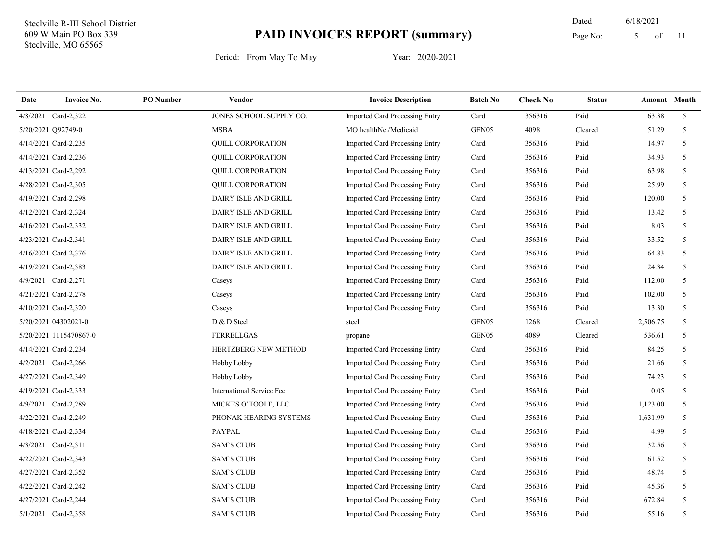11 Dated: 6/18/2021 Page No: 5 of

| Date | <b>Invoice No.</b>     | <b>PO</b> Number | <b>Vendor</b>             | <b>Invoice Description</b>            | <b>Batch No</b>   | <b>Check No</b> | <b>Status</b> | <b>Amount</b> Month |                |
|------|------------------------|------------------|---------------------------|---------------------------------------|-------------------|-----------------|---------------|---------------------|----------------|
|      | 4/8/2021 Card-2,322    |                  | JONES SCHOOL SUPPLY CO.   | <b>Imported Card Processing Entry</b> | Card              | 356316          | Paid          | 63.38               | 5 <sup>5</sup> |
|      | 5/20/2021 Q92749-0     |                  | <b>MSBA</b>               | MO healthNet/Medicaid                 | GEN05             | 4098            | Cleared       | 51.29               | 5 <sup>5</sup> |
|      | 4/14/2021 Card-2,235   |                  | <b>OUILL CORPORATION</b>  | <b>Imported Card Processing Entry</b> | Card              | 356316          | Paid          | 14.97               | 5              |
|      | 4/14/2021 Card-2,236   |                  | <b>QUILL CORPORATION</b>  | Imported Card Processing Entry        | Card              | 356316          | Paid          | 34.93               | 5              |
|      | 4/13/2021 Card-2,292   |                  | <b>QUILL CORPORATION</b>  | Imported Card Processing Entry        | Card              | 356316          | Paid          | 63.98               | 5              |
|      | 4/28/2021 Card-2,305   |                  | QUILL CORPORATION         | Imported Card Processing Entry        | Card              | 356316          | Paid          | 25.99               | 5              |
|      | 4/19/2021 Card-2,298   |                  | DAIRY ISLE AND GRILL      | Imported Card Processing Entry        | Card              | 356316          | Paid          | 120.00              | 5 <sup>5</sup> |
|      | 4/12/2021 Card-2,324   |                  | DAIRY ISLE AND GRILL      | Imported Card Processing Entry        | Card              | 356316          | Paid          | 13.42               | 5              |
|      | 4/16/2021 Card-2,332   |                  | DAIRY ISLE AND GRILL      | Imported Card Processing Entry        | Card              | 356316          | Paid          | 8.03                | 5              |
|      | 4/23/2021 Card-2,341   |                  | DAIRY ISLE AND GRILL      | <b>Imported Card Processing Entry</b> | Card              | 356316          | Paid          | 33.52               | 5              |
|      | 4/16/2021 Card-2,376   |                  | DAIRY ISLE AND GRILL      | Imported Card Processing Entry        | Card              | 356316          | Paid          | 64.83               | 5              |
|      | 4/19/2021 Card-2,383   |                  | DAIRY ISLE AND GRILL      | <b>Imported Card Processing Entry</b> | Card              | 356316          | Paid          | 24.34               | 5              |
|      | 4/9/2021 Card-2,271    |                  | Caseys                    | Imported Card Processing Entry        | Card              | 356316          | Paid          | 112.00              | 5              |
|      | 4/21/2021 Card-2,278   |                  | Caseys                    | <b>Imported Card Processing Entry</b> | Card              | 356316          | Paid          | 102.00              | 5              |
|      | 4/10/2021 Card-2,320   |                  | Caseys                    | Imported Card Processing Entry        | Card              | 356316          | Paid          | 13.30               | 5              |
|      | 5/20/2021 04302021-0   |                  | D & D Steel               | steel                                 | GEN <sub>05</sub> | 1268            | Cleared       | 2,506.75            | 5              |
|      | 5/20/2021 1115470867-0 |                  | <b>FERRELLGAS</b>         | propane                               | GEN05             | 4089            | Cleared       | 536.61              | 5              |
|      | 4/14/2021 Card-2,234   |                  | HERTZBERG NEW METHOD      | Imported Card Processing Entry        | Card              | 356316          | Paid          | 84.25               | 5              |
|      | 4/2/2021 Card-2,266    |                  | Hobby Lobby               | Imported Card Processing Entry        | Card              | 356316          | Paid          | 21.66               | 5 <sup>5</sup> |
|      | 4/27/2021 Card-2,349   |                  | Hobby Lobby               | Imported Card Processing Entry        | Card              | 356316          | Paid          | 74.23               | 5              |
|      | 4/19/2021 Card-2,333   |                  | International Service Fee | <b>Imported Card Processing Entry</b> | Card              | 356316          | Paid          | 0.05                | 5              |
|      | 4/9/2021 Card-2,289    |                  | MICKES O'TOOLE, LLC       | Imported Card Processing Entry        | Card              | 356316          | Paid          | 1,123.00            | 5              |
|      | 4/22/2021 Card-2,249   |                  | PHONAK HEARING SYSTEMS    | <b>Imported Card Processing Entry</b> | Card              | 356316          | Paid          | 1,631.99            | 5              |
|      | 4/18/2021 Card-2,334   |                  | <b>PAYPAL</b>             | Imported Card Processing Entry        | Card              | 356316          | Paid          | 4.99                | 5 <sup>5</sup> |
|      | 4/3/2021 Card-2,311    |                  | <b>SAM'S CLUB</b>         | <b>Imported Card Processing Entry</b> | Card              | 356316          | Paid          | 32.56               | 5              |
|      | 4/22/2021 Card-2,343   |                  | <b>SAM'S CLUB</b>         | Imported Card Processing Entry        | Card              | 356316          | Paid          | 61.52               | 5              |
|      | 4/27/2021 Card-2,352   |                  | <b>SAM'S CLUB</b>         | Imported Card Processing Entry        | Card              | 356316          | Paid          | 48.74               | 5              |
|      | 4/22/2021 Card-2,242   |                  | <b>SAM'S CLUB</b>         | Imported Card Processing Entry        | Card              | 356316          | Paid          | 45.36               | 5              |
|      | 4/27/2021 Card-2,244   |                  | <b>SAM'S CLUB</b>         | Imported Card Processing Entry        | Card              | 356316          | Paid          | 672.84              | 5 <sup>5</sup> |
|      | 5/1/2021 Card-2,358    |                  | <b>SAM'S CLUB</b>         | <b>Imported Card Processing Entry</b> | Card              | 356316          | Paid          | 55.16               | 5              |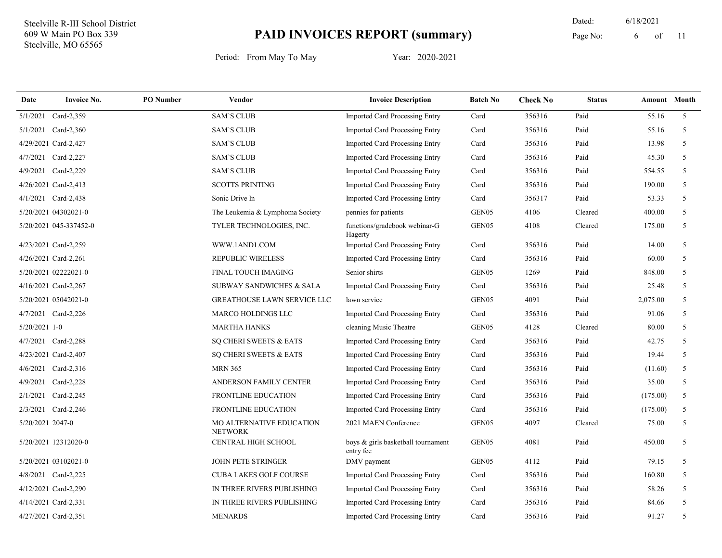11 Dated: 6/18/2021 Page No: 6 of

| Date             | <b>Invoice No.</b>     | <b>PO</b> Number | Vendor                                     | <b>Invoice Description</b>                      | <b>Batch No</b>   | <b>Check No</b> | <b>Status</b> | <b>Amount</b> Month |                |
|------------------|------------------------|------------------|--------------------------------------------|-------------------------------------------------|-------------------|-----------------|---------------|---------------------|----------------|
| 5/1/2021         | Card-2,359             |                  | <b>SAM'S CLUB</b>                          | <b>Imported Card Processing Entry</b>           | Card              | 356316          | Paid          | 55.16               | 5 <sup>5</sup> |
|                  | 5/1/2021 Card-2,360    |                  | <b>SAM'S CLUB</b>                          | <b>Imported Card Processing Entry</b>           | Card              | 356316          | Paid          | 55.16               | 5              |
|                  | 4/29/2021 Card-2,427   |                  | <b>SAM'S CLUB</b>                          | <b>Imported Card Processing Entry</b>           | Card              | 356316          | Paid          | 13.98               | 5              |
|                  | 4/7/2021 Card-2,227    |                  | <b>SAM'S CLUB</b>                          | <b>Imported Card Processing Entry</b>           | Card              | 356316          | Paid          | 45.30               | 5              |
|                  | 4/9/2021 Card-2,229    |                  | <b>SAM'S CLUB</b>                          | <b>Imported Card Processing Entry</b>           | Card              | 356316          | Paid          | 554.55              | 5              |
|                  | 4/26/2021 Card-2,413   |                  | <b>SCOTTS PRINTING</b>                     | <b>Imported Card Processing Entry</b>           | Card              | 356316          | Paid          | 190.00              | 5              |
|                  | 4/1/2021 Card-2,438    |                  | Sonic Drive In                             | Imported Card Processing Entry                  | Card              | 356317          | Paid          | 53.33               | 5              |
|                  | 5/20/2021 04302021-0   |                  | The Leukemia & Lymphoma Society            | pennies for patients                            | GEN05             | 4106            | Cleared       | 400.00              | 5              |
|                  | 5/20/2021 045-337452-0 |                  | TYLER TECHNOLOGIES, INC.                   | functions/gradebook webinar-G<br>Hagerty        | GEN <sub>05</sub> | 4108            | Cleared       | 175.00              | 5              |
|                  | 4/23/2021 Card-2,259   |                  | WWW.1AND1.COM                              | Imported Card Processing Entry                  | Card              | 356316          | Paid          | 14.00               | 5              |
|                  | 4/26/2021 Card-2,261   |                  | <b>REPUBLIC WIRELESS</b>                   | Imported Card Processing Entry                  | Card              | 356316          | Paid          | 60.00               | 5              |
|                  | 5/20/2021 02222021-0   |                  | <b>FINAL TOUCH IMAGING</b>                 | Senior shirts                                   | GEN05             | 1269            | Paid          | 848.00              | 5              |
|                  | 4/16/2021 Card-2,267   |                  | SUBWAY SANDWICHES & SALA                   | Imported Card Processing Entry                  | Card              | 356316          | Paid          | 25.48               | 5              |
|                  | 5/20/2021 05042021-0   |                  | <b>GREATHOUSE LAWN SERVICE LLC</b>         | lawn service                                    | GEN05             | 4091            | Paid          | 2,075.00            | 5              |
|                  | 4/7/2021 Card-2,226    |                  | <b>MARCO HOLDINGS LLC</b>                  | Imported Card Processing Entry                  | Card              | 356316          | Paid          | 91.06               | 5              |
| $5/20/2021$ 1-0  |                        |                  | <b>MARTHA HANKS</b>                        | cleaning Music Theatre                          | GEN05             | 4128            | Cleared       | 80.00               | 5              |
|                  | 4/7/2021 Card-2,288    |                  | SQ CHERI SWEETS & EATS                     | Imported Card Processing Entry                  | Card              | 356316          | Paid          | 42.75               | 5              |
|                  | 4/23/2021 Card-2,407   |                  | SQ CHERI SWEETS & EATS                     | Imported Card Processing Entry                  | Card              | 356316          | Paid          | 19.44               | 5              |
|                  | 4/6/2021 Card-2,316    |                  | <b>MRN 365</b>                             | <b>Imported Card Processing Entry</b>           | Card              | 356316          | Paid          | (11.60)             | 5              |
| 4/9/2021         | $Card-2,228$           |                  | ANDERSON FAMILY CENTER                     | Imported Card Processing Entry                  | Card              | 356316          | Paid          | 35.00               | 5              |
|                  | 2/1/2021 Card-2,245    |                  | <b>FRONTLINE EDUCATION</b>                 | Imported Card Processing Entry                  | Card              | 356316          | Paid          | (175.00)            | 5              |
|                  | 2/3/2021 Card-2,246    |                  | FRONTLINE EDUCATION                        | Imported Card Processing Entry                  | Card              | 356316          | Paid          | (175.00)            | 5              |
| 5/20/2021 2047-0 |                        |                  | MO ALTERNATIVE EDUCATION<br><b>NETWORK</b> | 2021 MAEN Conference                            | GEN <sub>05</sub> | 4097            | Cleared       | 75.00               | 5              |
|                  | 5/20/2021 12312020-0   |                  | CENTRAL HIGH SCHOOL                        | boys & girls basketball tournament<br>entry fee | GEN <sub>05</sub> | 4081            | Paid          | 450.00              | 5              |
|                  | 5/20/2021 03102021-0   |                  | <b>JOHN PETE STRINGER</b>                  | DMV payment                                     | GEN <sub>05</sub> | 4112            | Paid          | 79.15               | 5              |
|                  | 4/8/2021 Card-2,225    |                  | <b>CUBA LAKES GOLF COURSE</b>              | <b>Imported Card Processing Entry</b>           | Card              | 356316          | Paid          | 160.80              | 5              |
|                  | 4/12/2021 Card-2,290   |                  | IN THREE RIVERS PUBLISHING                 | Imported Card Processing Entry                  | Card              | 356316          | Paid          | 58.26               | 5              |
|                  | 4/14/2021 Card-2,331   |                  | IN THREE RIVERS PUBLISHING                 | Imported Card Processing Entry                  | Card              | 356316          | Paid          | 84.66               | 5              |
|                  | 4/27/2021 Card-2,351   |                  | <b>MENARDS</b>                             | Imported Card Processing Entry                  | Card              | 356316          | Paid          | 91.27               | 5              |
|                  |                        |                  |                                            |                                                 |                   |                 |               |                     |                |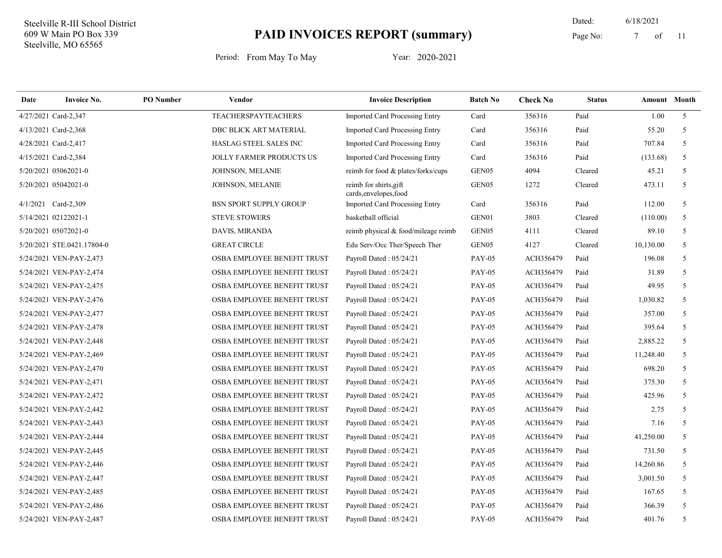11 Dated: 6/18/2021 Page No: 7 of

| Date | <b>Invoice No.</b>         | <b>PO</b> Number | <b>Vendor</b>                      | <b>Invoice Description</b>                       | <b>Batch No</b> | <b>Check No</b> | <b>Status</b> | <b>Amount</b> Month |                |
|------|----------------------------|------------------|------------------------------------|--------------------------------------------------|-----------------|-----------------|---------------|---------------------|----------------|
|      | 4/27/2021 Card-2,347       |                  | <b>TEACHERSPAYTEACHERS</b>         | Imported Card Processing Entry                   | Card            | 356316          | Paid          | 1.00                | $\mathfrak{F}$ |
|      | 4/13/2021 Card-2,368       |                  | DBC BLICK ART MATERIAL             | <b>Imported Card Processing Entry</b>            | Card            | 356316          | Paid          | 55.20               | 5              |
|      | 4/28/2021 Card-2,417       |                  | HASLAG STEEL SALES INC             | <b>Imported Card Processing Entry</b>            | Card            | 356316          | Paid          | 707.84              | 5              |
|      | 4/15/2021 Card-2,384       |                  | <b>JOLLY FARMER PRODUCTS US</b>    | <b>Imported Card Processing Entry</b>            | Card            | 356316          | Paid          | (133.68)            | 5              |
|      | 5/20/2021 05062021-0       |                  | JOHNSON, MELANIE                   | reimb for food & plates/forks/cups               | GEN05           | 4094            | Cleared       | 45.21               | 5              |
|      | 5/20/2021 05042021-0       |                  | JOHNSON, MELANIE                   | reimb for shirts, gift<br>cards, envelopes, food | GEN05           | 1272            | Cleared       | 473.11              | 5              |
|      | 4/1/2021 Card-2,309        |                  | <b>BSN SPORT SUPPLY GROUP</b>      | Imported Card Processing Entry                   | Card            | 356316          | Paid          | 112.00              | 5              |
|      | 5/14/2021 02122021-1       |                  | <b>STEVE STOWERS</b>               | basketball official                              | GEN01           | 3803            | Cleared       | (110.00)            | 5              |
|      | 5/20/2021 05072021-0       |                  | DAVIS, MIRANDA                     | reimb physical & food/mileage reimb              | GEN05           | 4111            | Cleared       | 89.10               | 5              |
|      | 5/20/2021 STE.0421.17804-0 |                  | <b>GREAT CIRCLE</b>                | Edu Serv/Occ Ther/Speech Ther                    | GEN05           | 4127            | Cleared       | 10,130.00           | 5              |
|      | 5/24/2021 VEN-PAY-2,473    |                  | OSBA EMPLOYEE BENEFIT TRUST        | Payroll Dated: 05/24/21                          | <b>PAY-05</b>   | ACH356479       | Paid          | 196.08              | 5              |
|      | 5/24/2021 VEN-PAY-2,474    |                  | OSBA EMPLOYEE BENEFIT TRUST        | Payroll Dated: 05/24/21                          | <b>PAY-05</b>   | ACH356479       | Paid          | 31.89               | 5              |
|      | 5/24/2021 VEN-PAY-2,475    |                  | OSBA EMPLOYEE BENEFIT TRUST        | Payroll Dated: 05/24/21                          | <b>PAY-05</b>   | ACH356479       | Paid          | 49.95               | 5              |
|      | 5/24/2021 VEN-PAY-2,476    |                  | OSBA EMPLOYEE BENEFIT TRUST        | Payroll Dated: 05/24/21                          | <b>PAY-05</b>   | ACH356479       | Paid          | 1,030.82            | 5              |
|      | 5/24/2021 VEN-PAY-2,477    |                  | OSBA EMPLOYEE BENEFIT TRUST        | Payroll Dated: 05/24/21                          | <b>PAY-05</b>   | ACH356479       | Paid          | 357.00              | 5              |
|      | 5/24/2021 VEN-PAY-2,478    |                  | OSBA EMPLOYEE BENEFIT TRUST        | Payroll Dated: 05/24/21                          | <b>PAY-05</b>   | ACH356479       | Paid          | 395.64              | 5              |
|      | 5/24/2021 VEN-PAY-2,448    |                  | OSBA EMPLOYEE BENEFIT TRUST        | Payroll Dated: 05/24/21                          | <b>PAY-05</b>   | ACH356479       | Paid          | 2,885.22            | 5              |
|      | 5/24/2021 VEN-PAY-2,469    |                  | OSBA EMPLOYEE BENEFIT TRUST        | Payroll Dated: 05/24/21                          | <b>PAY-05</b>   | ACH356479       | Paid          | 11,248.40           | 5              |
|      | 5/24/2021 VEN-PAY-2,470    |                  | OSBA EMPLOYEE BENEFIT TRUST        | Payroll Dated: 05/24/21                          | <b>PAY-05</b>   | ACH356479       | Paid          | 698.20              | 5              |
|      | 5/24/2021 VEN-PAY-2,471    |                  | OSBA EMPLOYEE BENEFIT TRUST        | Payroll Dated: 05/24/21                          | <b>PAY-05</b>   | ACH356479       | Paid          | 375.30              | 5              |
|      | 5/24/2021 VEN-PAY-2,472    |                  | OSBA EMPLOYEE BENEFIT TRUST        | Payroll Dated: 05/24/21                          | <b>PAY-05</b>   | ACH356479       | Paid          | 425.96              | 5              |
|      | 5/24/2021 VEN-PAY-2,442    |                  | OSBA EMPLOYEE BENEFIT TRUST        | Payroll Dated: 05/24/21                          | <b>PAY-05</b>   | ACH356479       | Paid          | 2.75                | 5              |
|      | 5/24/2021 VEN-PAY-2,443    |                  | OSBA EMPLOYEE BENEFIT TRUST        | Payroll Dated: 05/24/21                          | <b>PAY-05</b>   | ACH356479       | Paid          | 7.16                | 5              |
|      | 5/24/2021 VEN-PAY-2,444    |                  | OSBA EMPLOYEE BENEFIT TRUST        | Payroll Dated: 05/24/21                          | <b>PAY-05</b>   | ACH356479       | Paid          | 41,250.00           | 5              |
|      | 5/24/2021 VEN-PAY-2,445    |                  | OSBA EMPLOYEE BENEFIT TRUST        | Payroll Dated: 05/24/21                          | <b>PAY-05</b>   | ACH356479       | Paid          | 731.50              | 5              |
|      | 5/24/2021 VEN-PAY-2,446    |                  | OSBA EMPLOYEE BENEFIT TRUST        | Payroll Dated: 05/24/21                          | <b>PAY-05</b>   | ACH356479       | Paid          | 14,260.86           | 5              |
|      | 5/24/2021 VEN-PAY-2,447    |                  | OSBA EMPLOYEE BENEFIT TRUST        | Payroll Dated: 05/24/21                          | <b>PAY-05</b>   | ACH356479       | Paid          | 3,001.50            | 5              |
|      | 5/24/2021 VEN-PAY-2,485    |                  | OSBA EMPLOYEE BENEFIT TRUST        | Payroll Dated: 05/24/21                          | <b>PAY-05</b>   | ACH356479       | Paid          | 167.65              | 5              |
|      | 5/24/2021 VEN-PAY-2,486    |                  | <b>OSBA EMPLOYEE BENEFIT TRUST</b> | Payroll Dated: 05/24/21                          | <b>PAY-05</b>   | ACH356479       | Paid          | 366.39              | 5              |
|      | 5/24/2021 VEN-PAY-2,487    |                  | OSBA EMPLOYEE BENEFIT TRUST        | Payroll Dated: 05/24/21                          | <b>PAY-05</b>   | ACH356479       | Paid          | 401.76              | 5              |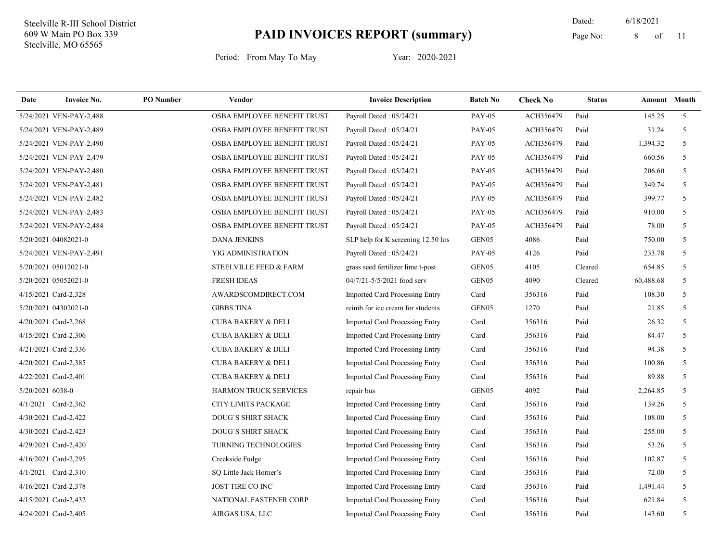11 Dated: 6/18/2021 Page No: 8 of

| Date             | <b>Invoice No.</b>      | <b>PO</b> Number | Vendor                        | <b>Invoice Description</b>            | <b>Batch No</b>   | <b>Check No</b> | <b>Status</b> | Amount Month |                |
|------------------|-------------------------|------------------|-------------------------------|---------------------------------------|-------------------|-----------------|---------------|--------------|----------------|
|                  | 5/24/2021 VEN-PAY-2,488 |                  | OSBA EMPLOYEE BENEFIT TRUST   | Payroll Dated: 05/24/21               | <b>PAY-05</b>     | ACH356479       | Paid          | 145.25       | 5 <sup>1</sup> |
|                  | 5/24/2021 VEN-PAY-2,489 |                  | OSBA EMPLOYEE BENEFIT TRUST   | Payroll Dated: 05/24/21               | <b>PAY-05</b>     | ACH356479       | Paid          | 31.24        | 5              |
|                  | 5/24/2021 VEN-PAY-2,490 |                  | OSBA EMPLOYEE BENEFIT TRUST   | Payroll Dated: 05/24/21               | <b>PAY-05</b>     | ACH356479       | Paid          | 1,394.32     | 5              |
|                  | 5/24/2021 VEN-PAY-2,479 |                  | OSBA EMPLOYEE BENEFIT TRUST   | Payroll Dated: 05/24/21               | <b>PAY-05</b>     | ACH356479       | Paid          | 660.56       | 5              |
|                  | 5/24/2021 VEN-PAY-2,480 |                  | OSBA EMPLOYEE BENEFIT TRUST   | Payroll Dated: 05/24/21               | <b>PAY-05</b>     | ACH356479       | Paid          | 206.60       | 5              |
|                  | 5/24/2021 VEN-PAY-2,481 |                  | OSBA EMPLOYEE BENEFIT TRUST   | Payroll Dated: 05/24/21               | <b>PAY-05</b>     | ACH356479       | Paid          | 349.74       | 5              |
|                  | 5/24/2021 VEN-PAY-2,482 |                  | OSBA EMPLOYEE BENEFIT TRUST   | Payroll Dated: 05/24/21               | <b>PAY-05</b>     | ACH356479       | Paid          | 399.77       | 5              |
|                  | 5/24/2021 VEN-PAY-2,483 |                  | OSBA EMPLOYEE BENEFIT TRUST   | Payroll Dated: 05/24/21               | <b>PAY-05</b>     | ACH356479       | Paid          | 910.00       | 5              |
|                  | 5/24/2021 VEN-PAY-2,484 |                  | OSBA EMPLOYEE BENEFIT TRUST   | Payroll Dated: 05/24/21               | <b>PAY-05</b>     | ACH356479       | Paid          | 78.00        | 5              |
|                  | 5/20/2021 04082021-0    |                  | <b>DANA JENKINS</b>           | SLP help for K screening 12.50 hrs    | GEN <sub>05</sub> | 4086            | Paid          | 750.00       | 5              |
|                  | 5/24/2021 VEN-PAY-2,491 |                  | YIG ADMINISTRATION            | Payroll Dated: 05/24/21               | <b>PAY-05</b>     | 4126            | Paid          | 233.78       | 5              |
|                  | 5/20/2021 05012021-0    |                  | STEELVILLE FEED & FARM        | grass seed fertilizer lime t-post     | GEN <sub>05</sub> | 4105            | Cleared       | 654.85       | 5              |
|                  | 5/20/2021 05052021-0    |                  | <b>FRESH IDEAS</b>            | 04/7/21-5/5/2021 food serv            | GEN05             | 4090            | Cleared       | 60,488.68    | 5              |
|                  | 4/15/2021 Card-2,328    |                  | AWARDSCOMDIRECT.COM           | Imported Card Processing Entry        | Card              | 356316          | Paid          | 108.30       | 5              |
|                  | 5/20/2021 04302021-0    |                  | <b>GIBBS TINA</b>             | reimb for ice cream for students      | GEN <sub>05</sub> | 1270            | Paid          | 21.85        | 5              |
|                  | 4/20/2021 Card-2,268    |                  | <b>CUBA BAKERY &amp; DELI</b> | Imported Card Processing Entry        | Card              | 356316          | Paid          | 26.32        | 5              |
|                  | 4/15/2021 Card-2,306    |                  | <b>CUBA BAKERY &amp; DELI</b> | Imported Card Processing Entry        | Card              | 356316          | Paid          | 84.47        | 5              |
|                  | 4/21/2021 Card-2,336    |                  | <b>CUBA BAKERY &amp; DELI</b> | Imported Card Processing Entry        | Card              | 356316          | Paid          | 94.38        | 5              |
|                  | 4/20/2021 Card-2,385    |                  | <b>CUBA BAKERY &amp; DELI</b> | Imported Card Processing Entry        | Card              | 356316          | Paid          | 100.86       | 5              |
|                  | 4/22/2021 Card-2,401    |                  | <b>CUBA BAKERY &amp; DELI</b> | Imported Card Processing Entry        | Card              | 356316          | Paid          | 89.88        | 5              |
| 5/20/2021 6038-0 |                         |                  | <b>HARMON TRUCK SERVICES</b>  | repair bus                            | GEN <sub>05</sub> | 4092            | Paid          | 2,264.85     | 5              |
|                  | 4/1/2021 Card-2,362     |                  | <b>CITY LIMITS PACKAGE</b>    | Imported Card Processing Entry        | Card              | 356316          | Paid          | 139.26       | 5              |
|                  | 4/30/2021 Card-2,422    |                  | DOUG'S SHIRT SHACK            | Imported Card Processing Entry        | Card              | 356316          | Paid          | 108.00       | 5              |
|                  | 4/30/2021 Card-2,423    |                  | DOUG'S SHIRT SHACK            | Imported Card Processing Entry        | Card              | 356316          | Paid          | 255.00       | 5              |
|                  | 4/29/2021 Card-2,420    |                  | <b>TURNING TECHNOLOGIES</b>   | Imported Card Processing Entry        | Card              | 356316          | Paid          | 53.26        | 5              |
|                  | 4/16/2021 Card-2,295    |                  | Creekside Fudge               | <b>Imported Card Processing Entry</b> | Card              | 356316          | Paid          | 102.87       | 5              |
|                  | 4/1/2021 Card-2,310     |                  | SQ Little Jack Horner's       | <b>Imported Card Processing Entry</b> | Card              | 356316          | Paid          | 72.00        | 5              |
|                  | 4/16/2021 Card-2,378    |                  | <b>JOST TIRE CO INC</b>       | Imported Card Processing Entry        | Card              | 356316          | Paid          | 1,491.44     | 5              |
|                  | 4/15/2021 Card-2,432    |                  | NATIONAL FASTENER CORP        | <b>Imported Card Processing Entry</b> | Card              | 356316          | Paid          | 621.84       | 5              |
|                  | 4/24/2021 Card-2,405    |                  | AIRGAS USA, LLC               | <b>Imported Card Processing Entry</b> | Card              | 356316          | Paid          | 143.60       | 5              |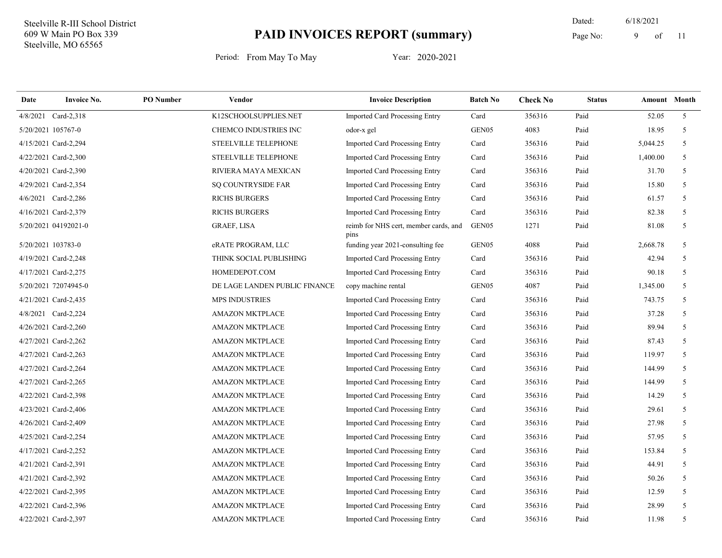11 Dated: 6/18/2021 Page No: 9 of

| Date               | <b>Invoice No.</b>   | <b>PO</b> Number | Vendor                        | <b>Invoice Description</b>                    | <b>Batch No</b>   | <b>Check No</b> | <b>Status</b> | <b>Amount</b> Month |                |
|--------------------|----------------------|------------------|-------------------------------|-----------------------------------------------|-------------------|-----------------|---------------|---------------------|----------------|
| 4/8/2021           | Card-2,318           |                  | K12SCHOOLSUPPLIES.NET         | Imported Card Processing Entry                | Card              | 356316          | Paid          | 52.05               | 5 <sup>5</sup> |
| 5/20/2021 105767-0 |                      |                  | CHEMCO INDUSTRIES INC         | odor-x gel                                    | GEN05             | 4083            | Paid          | 18.95               | 5              |
|                    | 4/15/2021 Card-2,294 |                  | STEELVILLE TELEPHONE          | Imported Card Processing Entry                | Card              | 356316          | Paid          | 5,044.25            | 5              |
|                    | 4/22/2021 Card-2,300 |                  | STEELVILLE TELEPHONE          | Imported Card Processing Entry                | Card              | 356316          | Paid          | 1,400.00            | 5              |
|                    | 4/20/2021 Card-2,390 |                  | RIVIERA MAYA MEXICAN          | Imported Card Processing Entry                | Card              | 356316          | Paid          | 31.70               | 5              |
|                    | 4/29/2021 Card-2,354 |                  | <b>SQ COUNTRYSIDE FAR</b>     | <b>Imported Card Processing Entry</b>         | Card              | 356316          | Paid          | 15.80               | 5              |
|                    | 4/6/2021 Card-2,286  |                  | <b>RICHS BURGERS</b>          | Imported Card Processing Entry                | Card              | 356316          | Paid          | 61.57               | 5              |
|                    | 4/16/2021 Card-2,379 |                  | <b>RICHS BURGERS</b>          | Imported Card Processing Entry                | Card              | 356316          | Paid          | 82.38               | 5              |
|                    | 5/20/2021 04192021-0 |                  | <b>GRAEF, LISA</b>            | reimb for NHS cert, member cards, and<br>pins | GEN <sub>05</sub> | 1271            | Paid          | 81.08               | 5              |
| 5/20/2021 103783-0 |                      |                  | eRATE PROGRAM, LLC            | funding year 2021-consulting fee              | GEN <sub>05</sub> | 4088            | Paid          | 2,668.78            | 5              |
|                    | 4/19/2021 Card-2,248 |                  | THINK SOCIAL PUBLISHING       | Imported Card Processing Entry                | Card              | 356316          | Paid          | 42.94               | 5              |
|                    | 4/17/2021 Card-2,275 |                  | HOMEDEPOT.COM                 | Imported Card Processing Entry                | Card              | 356316          | Paid          | 90.18               | 5              |
|                    | 5/20/2021 72074945-0 |                  | DE LAGE LANDEN PUBLIC FINANCE | copy machine rental                           | GEN05             | 4087            | Paid          | 1,345.00            | 5              |
|                    | 4/21/2021 Card-2,435 |                  | <b>MPS INDUSTRIES</b>         | Imported Card Processing Entry                | Card              | 356316          | Paid          | 743.75              | 5              |
|                    | 4/8/2021 Card-2,224  |                  | <b>AMAZON MKTPLACE</b>        | <b>Imported Card Processing Entry</b>         | Card              | 356316          | Paid          | 37.28               | 5              |
|                    | 4/26/2021 Card-2,260 |                  | AMAZON MKTPLACE               | Imported Card Processing Entry                | Card              | 356316          | Paid          | 89.94               | 5              |
|                    | 4/27/2021 Card-2,262 |                  | <b>AMAZON MKTPLACE</b>        | Imported Card Processing Entry                | Card              | 356316          | Paid          | 87.43               | 5              |
|                    | 4/27/2021 Card-2,263 |                  | <b>AMAZON MKTPLACE</b>        | Imported Card Processing Entry                | Card              | 356316          | Paid          | 119.97              | 5              |
|                    | 4/27/2021 Card-2,264 |                  | <b>AMAZON MKTPLACE</b>        | <b>Imported Card Processing Entry</b>         | Card              | 356316          | Paid          | 144.99              | 5              |
|                    | 4/27/2021 Card-2,265 |                  | <b>AMAZON MKTPLACE</b>        | <b>Imported Card Processing Entry</b>         | Card              | 356316          | Paid          | 144.99              | 5              |
|                    | 4/22/2021 Card-2,398 |                  | <b>AMAZON MKTPLACE</b>        | Imported Card Processing Entry                | Card              | 356316          | Paid          | 14.29               | 5              |
|                    | 4/23/2021 Card-2,406 |                  | <b>AMAZON MKTPLACE</b>        | Imported Card Processing Entry                | Card              | 356316          | Paid          | 29.61               | 5              |
|                    | 4/26/2021 Card-2,409 |                  | <b>AMAZON MKTPLACE</b>        | Imported Card Processing Entry                | Card              | 356316          | Paid          | 27.98               | 5              |
|                    | 4/25/2021 Card-2,254 |                  | <b>AMAZON MKTPLACE</b>        | Imported Card Processing Entry                | Card              | 356316          | Paid          | 57.95               | 5              |
|                    | 4/17/2021 Card-2,252 |                  | <b>AMAZON MKTPLACE</b>        | Imported Card Processing Entry                | Card              | 356316          | Paid          | 153.84              | 5              |
|                    | 4/21/2021 Card-2,391 |                  | <b>AMAZON MKTPLACE</b>        | Imported Card Processing Entry                | Card              | 356316          | Paid          | 44.91               | 5              |
|                    | 4/21/2021 Card-2,392 |                  | <b>AMAZON MKTPLACE</b>        | <b>Imported Card Processing Entry</b>         | Card              | 356316          | Paid          | 50.26               | 5              |
|                    | 4/22/2021 Card-2,395 |                  | <b>AMAZON MKTPLACE</b>        | Imported Card Processing Entry                | Card              | 356316          | Paid          | 12.59               | 5              |
|                    | 4/22/2021 Card-2,396 |                  | <b>AMAZON MKTPLACE</b>        | Imported Card Processing Entry                | Card              | 356316          | Paid          | 28.99               | 5              |
|                    | 4/22/2021 Card-2,397 |                  | <b>AMAZON MKTPLACE</b>        | Imported Card Processing Entry                | Card              | 356316          | Paid          | 11.98               | 5              |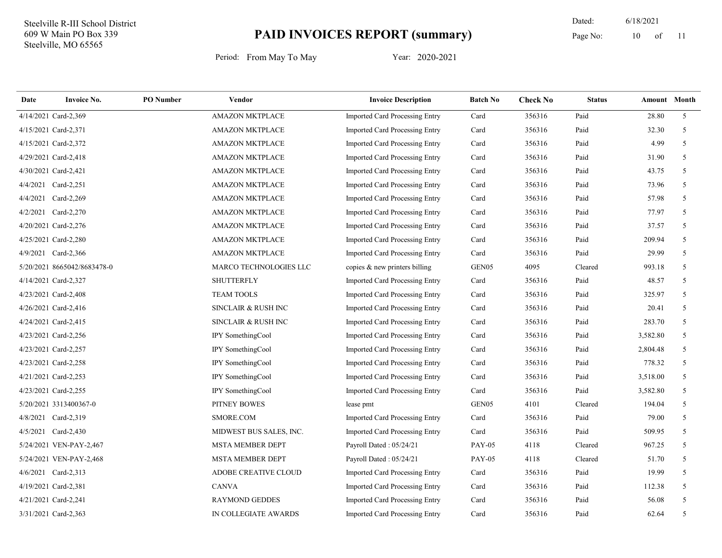11 Dated: 6/18/2021 Page No:  $10$  of

| Date | <b>Invoice No.</b>          | <b>PO</b> Number | Vendor                      | <b>Invoice Description</b>            | <b>Batch No</b>   | <b>Check No</b> | <b>Status</b> |          | Amount Month   |
|------|-----------------------------|------------------|-----------------------------|---------------------------------------|-------------------|-----------------|---------------|----------|----------------|
|      | 4/14/2021 Card-2,369        |                  | <b>AMAZON MKTPLACE</b>      | <b>Imported Card Processing Entry</b> | Card              | 356316          | Paid          | 28.80    | 5 <sup>5</sup> |
|      | 4/15/2021 Card-2,371        |                  | <b>AMAZON MKTPLACE</b>      | Imported Card Processing Entry        | Card              | 356316          | Paid          | 32.30    | 5              |
|      | 4/15/2021 Card-2,372        |                  | <b>AMAZON MKTPLACE</b>      | <b>Imported Card Processing Entry</b> | Card              | 356316          | Paid          | 4.99     | 5              |
|      | 4/29/2021 Card-2,418        |                  | <b>AMAZON MKTPLACE</b>      | Imported Card Processing Entry        | Card              | 356316          | Paid          | 31.90    | 5              |
|      | 4/30/2021 Card-2,421        |                  | <b>AMAZON MKTPLACE</b>      | Imported Card Processing Entry        | Card              | 356316          | Paid          | 43.75    | 5 <sup>5</sup> |
|      | 4/4/2021 Card-2,251         |                  | <b>AMAZON MKTPLACE</b>      | Imported Card Processing Entry        | Card              | 356316          | Paid          | 73.96    | 5              |
|      | 4/4/2021 Card-2,269         |                  | <b>AMAZON MKTPLACE</b>      | Imported Card Processing Entry        | Card              | 356316          | Paid          | 57.98    | 5              |
|      | 4/2/2021 Card-2,270         |                  | <b>AMAZON MKTPLACE</b>      | Imported Card Processing Entry        | Card              | 356316          | Paid          | 77.97    | 5              |
|      | 4/20/2021 Card-2,276        |                  | <b>AMAZON MKTPLACE</b>      | Imported Card Processing Entry        | Card              | 356316          | Paid          | 37.57    | 5              |
|      | 4/25/2021 Card-2,280        |                  | <b>AMAZON MKTPLACE</b>      | Imported Card Processing Entry        | Card              | 356316          | Paid          | 209.94   | 5              |
|      | 4/9/2021 Card-2,366         |                  | <b>AMAZON MKTPLACE</b>      | <b>Imported Card Processing Entry</b> | Card              | 356316          | Paid          | 29.99    | 5              |
|      | 5/20/2021 8665042/8683478-0 |                  | MARCO TECHNOLOGIES LLC      | copies & new printers billing         | GEN05             | 4095            | Cleared       | 993.18   | 5              |
|      | 4/14/2021 Card-2,327        |                  | <b>SHUTTERFLY</b>           | Imported Card Processing Entry        | Card              | 356316          | Paid          | 48.57    | 5              |
|      | 4/23/2021 Card-2,408        |                  | <b>TEAM TOOLS</b>           | Imported Card Processing Entry        | Card              | 356316          | Paid          | 325.97   | 5              |
|      | 4/26/2021 Card-2,416        |                  | SINCLAIR & RUSH INC         | <b>Imported Card Processing Entry</b> | Card              | 356316          | Paid          | 20.41    | 5              |
|      | 4/24/2021 Card-2,415        |                  | SINCLAIR & RUSH INC         | <b>Imported Card Processing Entry</b> | Card              | 356316          | Paid          | 283.70   | 5              |
|      | 4/23/2021 Card-2,256        |                  | IPY SomethingCool           | Imported Card Processing Entry        | Card              | 356316          | Paid          | 3,582.80 | 5              |
|      | 4/23/2021 Card-2,257        |                  | IPY SomethingCool           | Imported Card Processing Entry        | Card              | 356316          | Paid          | 2,804.48 | 5              |
|      | 4/23/2021 Card-2,258        |                  | IPY SomethingCool           | <b>Imported Card Processing Entry</b> | Card              | 356316          | Paid          | 778.32   | 5 <sup>5</sup> |
|      | 4/21/2021 Card-2,253        |                  | IPY SomethingCool           | <b>Imported Card Processing Entry</b> | Card              | 356316          | Paid          | 3,518.00 | 5 <sup>5</sup> |
|      | 4/23/2021 Card-2,255        |                  | IPY SomethingCool           | Imported Card Processing Entry        | Card              | 356316          | Paid          | 3,582.80 | 5              |
|      | 5/20/2021 3313400367-0      |                  | PITNEY BOWES                | lease pmt                             | GEN <sub>05</sub> | 4101            | Cleared       | 194.04   | 5              |
|      | 4/8/2021 Card-2,319         |                  | SMORE.COM                   | <b>Imported Card Processing Entry</b> | Card              | 356316          | Paid          | 79.00    | 5              |
|      | 4/5/2021 Card-2,430         |                  | MIDWEST BUS SALES, INC.     | <b>Imported Card Processing Entry</b> | Card              | 356316          | Paid          | 509.95   | 5              |
|      | 5/24/2021 VEN-PAY-2,467     |                  | <b>MSTA MEMBER DEPT</b>     | Payroll Dated: 05/24/21               | <b>PAY-05</b>     | 4118            | Cleared       | 967.25   | 5 <sup>5</sup> |
|      | 5/24/2021 VEN-PAY-2,468     |                  | <b>MSTA MEMBER DEPT</b>     | Payroll Dated: 05/24/21               | <b>PAY-05</b>     | 4118            | Cleared       | 51.70    | 5              |
|      | 4/6/2021 Card-2,313         |                  | <b>ADOBE CREATIVE CLOUD</b> | <b>Imported Card Processing Entry</b> | Card              | 356316          | Paid          | 19.99    | 5              |
|      | 4/19/2021 Card-2,381        |                  | <b>CANVA</b>                | <b>Imported Card Processing Entry</b> | Card              | 356316          | Paid          | 112.38   | 5              |
|      | 4/21/2021 Card-2,241        |                  | <b>RAYMOND GEDDES</b>       | Imported Card Processing Entry        | Card              | 356316          | Paid          | 56.08    | 5              |
|      | 3/31/2021 Card-2,363        |                  | IN COLLEGIATE AWARDS        | Imported Card Processing Entry        | Card              | 356316          | Paid          | 62.64    | 5              |
|      |                             |                  |                             |                                       |                   |                 |               |          |                |